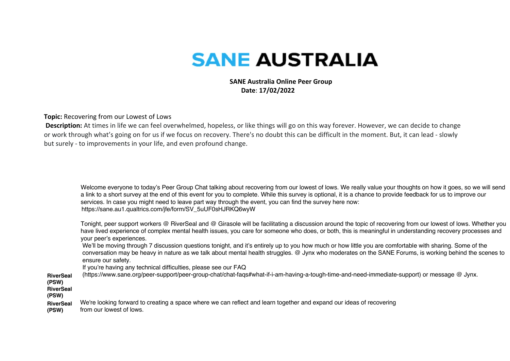## **SANE AUSTRALIA**

 **SANE Australia Online Peer Group Date**: **17/02/2022**

**Topic:** Recovering from our Lowest of Lows

**Description:** At times in life we can feel overwhelmed, hopeless, or like things will go on this way forever. However, we can decide to change or work through what's going on for us if we focus on recovery. There's no doubt this can be difficult in the moment. But, it can lead - slowly but surely - to improvements in your life, and even profound change.

Welcome everyone to today's Peer Group Chat talking about recovering from our lowest of lows. We really value your thoughts on how it goes, so we will send a link to a short survey at the end of this event for you to complete. While this survey is optional, it is a chance to provide feedback for us to improve our services. In case you might need to leave part way through the event, you can find the survey here now: https://sane.au1.qualtrics.com/jfe/form/SV\_5uUF0sHJRKQ6wyW

Tonight, peer support workers @ RiverSeal and @ Girasole will be facilitating a discussion around the topic of recovering from our lowest of lows. Whether you have lived experience of complex mental health issues, you care for someone who does, or both, this is meaningful in understanding recovery processes and your peer's experiences.

We'll be moving through 7 discussion questions tonight, and it's entirely up to you how much or how little you are comfortable with sharing. Some of the conversation may be heavy in nature as we talk about mental health struggles. @ Jynx who moderates on the SANE Forums, is working behind the scenes to ensure our safety.

If you're having any technical difficulties, please see our FAQ

**RiverSeal**  (https://www.sane.org/peer-support/peer-group-chat/chat-faqs#what-if-i-am-having-a-tough-time-and-need-immediate-support) or message @ Jynx.

- **(PSW) RiverSeal**
- **(PSW)**

**RiverSeal**  We're looking forward to creating a space where we can reflect and learn together and expand our ideas of recovering

**(PSW)** from our lowest of lows.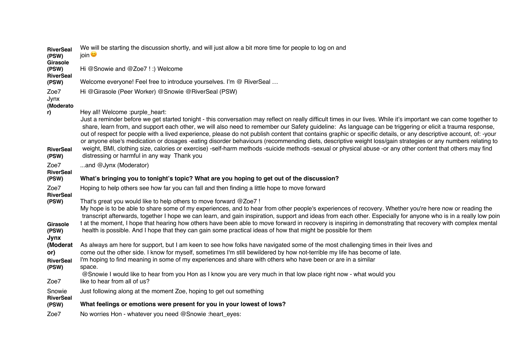| Hi @Snowie and @Zoe7 !:) Welcome<br>(PSW)<br><b>RiverSeal</b><br>Welcome everyone! Feel free to introduce yourselves. I'm @ RiverSeal<br>(PSW)<br>Zoe7<br>Hi @Girasole (Peer Worker) @Snowie @RiverSeal (PSW)<br>Jynx<br>(Moderato<br>Hey all! Welcome :purple_heart:<br>r)<br>Just a reminder before we get started tonight - this conversation may reflect on really difficult times in our lives. While it's important we can come together to<br>share, learn from, and support each other, we will also need to remember our Safety guideline: As language can be triggering or elicit a trauma response,<br>out of respect for people with a lived experience, please do not publish content that contains graphic or specific details, or any descriptive account, of: -your<br>or anyone else's medication or dosages -eating disorder behaviours (recommending diets, descriptive weight loss/gain strategies or any numbers relating to<br>weight, BMI, clothing size, calories or exercise) -self-harm methods -suicide methods -sexual or physical abuse -or any other content that others may find<br><b>RiverSeal</b><br>distressing or harmful in any way Thank you<br>(PSW)<br>Zoe7<br>and @Jynx (Moderator)<br><b>RiverSeal</b><br>What's bringing you to tonight's topic? What are you hoping to get out of the discussion?<br>(PSW)<br>Hoping to help others see how far you can fall and then finding a little hope to move forward<br>Zoe7<br><b>RiverSeal</b><br>That's great you would like to help others to move forward @Zoe7 !<br>(PSW)<br>My hope is to be able to share some of my experiences, and to hear from other people's experiences of recovery. Whether you're here now or reading the<br>transcript afterwards, together I hope we can learn, and gain inspiration, support and ideas from each other. Especially for anyone who is in a really low poin<br>t at the moment, I hope that hearing how others have been able to move forward in recovery is inspiring in demonstrating that recovery with complex mental<br>Girasole<br>health is possible. And I hope that they can gain some practical ideas of how that might be possible for them<br>(PSW)<br>Jynx<br>As always am here for support, but I am keen to see how folks have navigated some of the most challenging times in their lives and<br>(Moderat<br>come out the other side. I know for myself, sometimes I'm still bewildered by how not-terrible my life has become of late.<br>or)<br>I'm hoping to find meaning in some of my experiences and share with others who have been or are in a similar<br><b>RiverSeal</b><br>(PSW)<br>space.<br>@Snowie I would like to hear from you Hon as I know you are very much in that low place right now - what would you<br>like to hear from all of us?<br>Zoe7<br>Just following along at the moment Zoe, hoping to get out something<br>Snowie<br><b>RiverSeal</b><br>What feelings or emotions were present for you in your lowest of lows?<br>(PSW)<br>Zoe7<br>No worries Hon - whatever you need @Snowie :heart_eyes: | <b>RiverSeal</b><br>(PSW)<br>Girasole | We will be starting the discussion shortly, and will just allow a bit more time for people to log on and<br>join ♥ |
|------------------------------------------------------------------------------------------------------------------------------------------------------------------------------------------------------------------------------------------------------------------------------------------------------------------------------------------------------------------------------------------------------------------------------------------------------------------------------------------------------------------------------------------------------------------------------------------------------------------------------------------------------------------------------------------------------------------------------------------------------------------------------------------------------------------------------------------------------------------------------------------------------------------------------------------------------------------------------------------------------------------------------------------------------------------------------------------------------------------------------------------------------------------------------------------------------------------------------------------------------------------------------------------------------------------------------------------------------------------------------------------------------------------------------------------------------------------------------------------------------------------------------------------------------------------------------------------------------------------------------------------------------------------------------------------------------------------------------------------------------------------------------------------------------------------------------------------------------------------------------------------------------------------------------------------------------------------------------------------------------------------------------------------------------------------------------------------------------------------------------------------------------------------------------------------------------------------------------------------------------------------------------------------------------------------------------------------------------------------------------------------------------------------------------------------------------------------------------------------------------------------------------------------------------------------------------------------------------------------------------------------------------------------------------------------------------------------------------------------------------------------------------------------------------------------------------------------------------------------------------------------------------------------------------------------------------------------------------------------------------------------------------------------------------------------------------------|---------------------------------------|--------------------------------------------------------------------------------------------------------------------|
|                                                                                                                                                                                                                                                                                                                                                                                                                                                                                                                                                                                                                                                                                                                                                                                                                                                                                                                                                                                                                                                                                                                                                                                                                                                                                                                                                                                                                                                                                                                                                                                                                                                                                                                                                                                                                                                                                                                                                                                                                                                                                                                                                                                                                                                                                                                                                                                                                                                                                                                                                                                                                                                                                                                                                                                                                                                                                                                                                                                                                                                                                    |                                       |                                                                                                                    |
|                                                                                                                                                                                                                                                                                                                                                                                                                                                                                                                                                                                                                                                                                                                                                                                                                                                                                                                                                                                                                                                                                                                                                                                                                                                                                                                                                                                                                                                                                                                                                                                                                                                                                                                                                                                                                                                                                                                                                                                                                                                                                                                                                                                                                                                                                                                                                                                                                                                                                                                                                                                                                                                                                                                                                                                                                                                                                                                                                                                                                                                                                    |                                       |                                                                                                                    |
|                                                                                                                                                                                                                                                                                                                                                                                                                                                                                                                                                                                                                                                                                                                                                                                                                                                                                                                                                                                                                                                                                                                                                                                                                                                                                                                                                                                                                                                                                                                                                                                                                                                                                                                                                                                                                                                                                                                                                                                                                                                                                                                                                                                                                                                                                                                                                                                                                                                                                                                                                                                                                                                                                                                                                                                                                                                                                                                                                                                                                                                                                    |                                       |                                                                                                                    |
|                                                                                                                                                                                                                                                                                                                                                                                                                                                                                                                                                                                                                                                                                                                                                                                                                                                                                                                                                                                                                                                                                                                                                                                                                                                                                                                                                                                                                                                                                                                                                                                                                                                                                                                                                                                                                                                                                                                                                                                                                                                                                                                                                                                                                                                                                                                                                                                                                                                                                                                                                                                                                                                                                                                                                                                                                                                                                                                                                                                                                                                                                    |                                       |                                                                                                                    |
|                                                                                                                                                                                                                                                                                                                                                                                                                                                                                                                                                                                                                                                                                                                                                                                                                                                                                                                                                                                                                                                                                                                                                                                                                                                                                                                                                                                                                                                                                                                                                                                                                                                                                                                                                                                                                                                                                                                                                                                                                                                                                                                                                                                                                                                                                                                                                                                                                                                                                                                                                                                                                                                                                                                                                                                                                                                                                                                                                                                                                                                                                    |                                       |                                                                                                                    |
|                                                                                                                                                                                                                                                                                                                                                                                                                                                                                                                                                                                                                                                                                                                                                                                                                                                                                                                                                                                                                                                                                                                                                                                                                                                                                                                                                                                                                                                                                                                                                                                                                                                                                                                                                                                                                                                                                                                                                                                                                                                                                                                                                                                                                                                                                                                                                                                                                                                                                                                                                                                                                                                                                                                                                                                                                                                                                                                                                                                                                                                                                    |                                       |                                                                                                                    |
|                                                                                                                                                                                                                                                                                                                                                                                                                                                                                                                                                                                                                                                                                                                                                                                                                                                                                                                                                                                                                                                                                                                                                                                                                                                                                                                                                                                                                                                                                                                                                                                                                                                                                                                                                                                                                                                                                                                                                                                                                                                                                                                                                                                                                                                                                                                                                                                                                                                                                                                                                                                                                                                                                                                                                                                                                                                                                                                                                                                                                                                                                    |                                       |                                                                                                                    |
|                                                                                                                                                                                                                                                                                                                                                                                                                                                                                                                                                                                                                                                                                                                                                                                                                                                                                                                                                                                                                                                                                                                                                                                                                                                                                                                                                                                                                                                                                                                                                                                                                                                                                                                                                                                                                                                                                                                                                                                                                                                                                                                                                                                                                                                                                                                                                                                                                                                                                                                                                                                                                                                                                                                                                                                                                                                                                                                                                                                                                                                                                    |                                       |                                                                                                                    |
|                                                                                                                                                                                                                                                                                                                                                                                                                                                                                                                                                                                                                                                                                                                                                                                                                                                                                                                                                                                                                                                                                                                                                                                                                                                                                                                                                                                                                                                                                                                                                                                                                                                                                                                                                                                                                                                                                                                                                                                                                                                                                                                                                                                                                                                                                                                                                                                                                                                                                                                                                                                                                                                                                                                                                                                                                                                                                                                                                                                                                                                                                    |                                       |                                                                                                                    |
|                                                                                                                                                                                                                                                                                                                                                                                                                                                                                                                                                                                                                                                                                                                                                                                                                                                                                                                                                                                                                                                                                                                                                                                                                                                                                                                                                                                                                                                                                                                                                                                                                                                                                                                                                                                                                                                                                                                                                                                                                                                                                                                                                                                                                                                                                                                                                                                                                                                                                                                                                                                                                                                                                                                                                                                                                                                                                                                                                                                                                                                                                    |                                       |                                                                                                                    |
|                                                                                                                                                                                                                                                                                                                                                                                                                                                                                                                                                                                                                                                                                                                                                                                                                                                                                                                                                                                                                                                                                                                                                                                                                                                                                                                                                                                                                                                                                                                                                                                                                                                                                                                                                                                                                                                                                                                                                                                                                                                                                                                                                                                                                                                                                                                                                                                                                                                                                                                                                                                                                                                                                                                                                                                                                                                                                                                                                                                                                                                                                    |                                       |                                                                                                                    |
|                                                                                                                                                                                                                                                                                                                                                                                                                                                                                                                                                                                                                                                                                                                                                                                                                                                                                                                                                                                                                                                                                                                                                                                                                                                                                                                                                                                                                                                                                                                                                                                                                                                                                                                                                                                                                                                                                                                                                                                                                                                                                                                                                                                                                                                                                                                                                                                                                                                                                                                                                                                                                                                                                                                                                                                                                                                                                                                                                                                                                                                                                    |                                       |                                                                                                                    |
|                                                                                                                                                                                                                                                                                                                                                                                                                                                                                                                                                                                                                                                                                                                                                                                                                                                                                                                                                                                                                                                                                                                                                                                                                                                                                                                                                                                                                                                                                                                                                                                                                                                                                                                                                                                                                                                                                                                                                                                                                                                                                                                                                                                                                                                                                                                                                                                                                                                                                                                                                                                                                                                                                                                                                                                                                                                                                                                                                                                                                                                                                    |                                       |                                                                                                                    |
|                                                                                                                                                                                                                                                                                                                                                                                                                                                                                                                                                                                                                                                                                                                                                                                                                                                                                                                                                                                                                                                                                                                                                                                                                                                                                                                                                                                                                                                                                                                                                                                                                                                                                                                                                                                                                                                                                                                                                                                                                                                                                                                                                                                                                                                                                                                                                                                                                                                                                                                                                                                                                                                                                                                                                                                                                                                                                                                                                                                                                                                                                    |                                       |                                                                                                                    |
|                                                                                                                                                                                                                                                                                                                                                                                                                                                                                                                                                                                                                                                                                                                                                                                                                                                                                                                                                                                                                                                                                                                                                                                                                                                                                                                                                                                                                                                                                                                                                                                                                                                                                                                                                                                                                                                                                                                                                                                                                                                                                                                                                                                                                                                                                                                                                                                                                                                                                                                                                                                                                                                                                                                                                                                                                                                                                                                                                                                                                                                                                    |                                       |                                                                                                                    |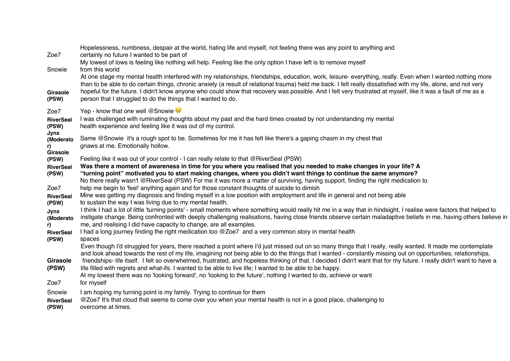| Zoe7<br>Snowie<br>Girasole<br>(PSW)         | Hopelessness, numbness, despair at the world, hating life and myself, not feeling there was any point to anything and<br>certainly no future I wanted to be part of<br>My lowest of lows is feeling like nothing will help. Feeling like the only option I have left is to remove myself<br>from this world<br>At one stage my mental health interfered with my relationships, friendships, education, work, leisure- everything, really. Even when I wanted nothing more<br>than to be able to do certain things, chronic anxiety (a result of relational trauma) held me back. I felt really dissatisfied with my life, alone, and not very<br>hopeful for the future. I didn't know anyone who could show that recovery was possible. And I felt very frustrated at myself, like it was a fault of me as a<br>person that I struggled to do the things that I wanted to do. |
|---------------------------------------------|--------------------------------------------------------------------------------------------------------------------------------------------------------------------------------------------------------------------------------------------------------------------------------------------------------------------------------------------------------------------------------------------------------------------------------------------------------------------------------------------------------------------------------------------------------------------------------------------------------------------------------------------------------------------------------------------------------------------------------------------------------------------------------------------------------------------------------------------------------------------------------|
| Zoe7<br><b>RiverSeal</b><br>(PSW)<br>Jynx   | Yep - know that one well @Snowie<br>I was challenged with ruminating thoughts about my past and the hard times created by not understanding my mental<br>health experience and feeling like it was out of my control.                                                                                                                                                                                                                                                                                                                                                                                                                                                                                                                                                                                                                                                          |
| (Moderato<br>r)<br>Girasole                 | Same @Snowie it's a rough spot to be. Sometimes for me it has felt like there's a gaping chasm in my chest that<br>gnaws at me. Emotionally hollow.                                                                                                                                                                                                                                                                                                                                                                                                                                                                                                                                                                                                                                                                                                                            |
| (PSW)<br><b>RiverSeal</b>                   | Feeling like it was out of your control - I can really relate to that @RiverSeal (PSW)<br>Was there a moment of awareness in time for you where you realised that you needed to make changes in your life? A                                                                                                                                                                                                                                                                                                                                                                                                                                                                                                                                                                                                                                                                   |
| (PSW)                                       | "turning point" motivated you to start making changes, where you didn't want things to continue the same anymore?<br>No there really wasn't @RiverSeal (PSW) For me it was more a matter of surviving, having support, finding the right medication to                                                                                                                                                                                                                                                                                                                                                                                                                                                                                                                                                                                                                         |
| Zoe7                                        | help me begin to 'feel' anything again and for those constant thoughts of suicide to dimish                                                                                                                                                                                                                                                                                                                                                                                                                                                                                                                                                                                                                                                                                                                                                                                    |
| <b>RiverSeal</b><br>(PSW)                   | Mine was getting my diagnosis and finding myself in a low position with employment and life in general and not being able<br>to sustain the way I was living due to my mental health.                                                                                                                                                                                                                                                                                                                                                                                                                                                                                                                                                                                                                                                                                          |
| Jynx<br>(Moderato<br>r)<br><b>RiverSeal</b> | I think I had a lot of little 'turning points' - small moments where something would really hit me in a way that in hindsight, I realise were factors that helped to<br>instigate change. Being confronted with deeply challenging realisations, having close friends observe certain maladaptive beliefs in me, having others believe in<br>me, and realising I did have capacity to change, are all examples.<br>I had a long journey finding the right medication too @Zoe7 and a very common story in mental health                                                                                                                                                                                                                                                                                                                                                        |
| (PSW)<br><b>Girasole</b><br>(PSW)<br>Zoe7   | spaces<br>Even though I'd struggled for years, there reached a point where I'd just missed out on so many things that I really, really wanted. It made me contemplate<br>and look ahead towards the rest of my life, imagining not being able to do the things that I wanted - constantly missing out on opportunities, relationships,<br>friendships- life itself. I felt so overwhelmed, frustrated, and hopeless thinking of that. I decided I didn't want that for my future. I really didn't want to have a<br>life filled with regrets and what-ifs. I wanted to be able to live life; I wanted to be able to be happy.<br>At my lowest there was no 'looking forward', no 'looking to the future', nothing I wanted to do, achieve or want<br>for myself                                                                                                                |
| Snowie<br><b>RiverSeal</b><br>(PSW)         | I am hoping my turning point is my family. Trying to continue for them<br>@Zoe7 It's that cloud that seems to come over you when your mental health is not in a good place, challenging to<br>overcome at times.                                                                                                                                                                                                                                                                                                                                                                                                                                                                                                                                                                                                                                                               |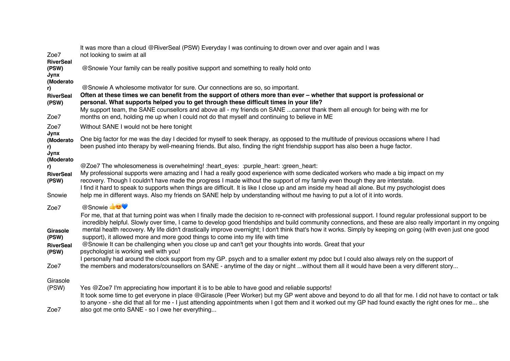| Zoe7                                                           | It was more than a cloud @RiverSeal (PSW) Everyday I was continuing to drown over and over again and I was<br>not looking to swim at all                                                                                                                                                                                                                                                                                                                                                                                                                                                                                                                                                                                                                                                                                                                                                                                                                                                                                  |
|----------------------------------------------------------------|---------------------------------------------------------------------------------------------------------------------------------------------------------------------------------------------------------------------------------------------------------------------------------------------------------------------------------------------------------------------------------------------------------------------------------------------------------------------------------------------------------------------------------------------------------------------------------------------------------------------------------------------------------------------------------------------------------------------------------------------------------------------------------------------------------------------------------------------------------------------------------------------------------------------------------------------------------------------------------------------------------------------------|
| <b>RiverSeal</b><br>(PSW)<br>Jynx<br>(Moderato                 | @Snowie Your family can be really positive support and something to really hold onto                                                                                                                                                                                                                                                                                                                                                                                                                                                                                                                                                                                                                                                                                                                                                                                                                                                                                                                                      |
| r)<br><b>RiverSeal</b><br>(PSW)                                | @Snowie A wholesome motivator for sure. Our connections are so, so important.<br>Often at these times we can benefit from the support of others more than ever – whether that support is professional or<br>personal. What supports helped you to get through these difficult times in your life?<br>My support team, the SANE counsellors and above all - my friends on SANE cannot thank them all enough for being with me for                                                                                                                                                                                                                                                                                                                                                                                                                                                                                                                                                                                          |
| Zoe7                                                           | months on end, holding me up when I could not do that myself and continuing to believe in ME                                                                                                                                                                                                                                                                                                                                                                                                                                                                                                                                                                                                                                                                                                                                                                                                                                                                                                                              |
| Zoe7<br>Jynx                                                   | Without SANE I would not be here tonight                                                                                                                                                                                                                                                                                                                                                                                                                                                                                                                                                                                                                                                                                                                                                                                                                                                                                                                                                                                  |
| (Moderato<br>r)<br>Jynx<br>(Moderato                           | One big factor for me was the day I decided for myself to seek therapy, as opposed to the multitude of previous occasions where I had<br>been pushed into therapy by well-meaning friends. But also, finding the right friendship support has also been a huge factor.                                                                                                                                                                                                                                                                                                                                                                                                                                                                                                                                                                                                                                                                                                                                                    |
| r)<br><b>RiverSeal</b><br>(PSW)<br>Snowie                      | @Zoe7 The wholesomeness is overwhelming! :heart_eyes: :purple_heart: :green_heart:<br>My professional supports were amazing and I had a really good experience with some dedicated workers who made a big impact on my<br>recovery. Though I couldn't have made the progress I made without the support of my family even though they are interstate.<br>I find it hard to speak to supports when things are difficult. It is like I close up and am inside my head all alone. But my psychologist does<br>help me in different ways. Also my friends on SANE help by understanding without me having to put a lot of it into words.                                                                                                                                                                                                                                                                                                                                                                                      |
|                                                                | @Snowie                                                                                                                                                                                                                                                                                                                                                                                                                                                                                                                                                                                                                                                                                                                                                                                                                                                                                                                                                                                                                   |
| Zoe7<br>Girasole<br>(PSW)<br><b>RiverSeal</b><br>(PSW)<br>Zoe7 | For me, that at that turning point was when I finally made the decision to re-connect with professional support. I found regular professional support to be<br>incredibly helpful. Slowly over time, I came to develop good friendships and build community connections, and these are also really important in my ongoing<br>mental health recovery. My life didn't drastically improve overnight; I don't think that's how it works. Simply by keeping on going (with even just one good<br>support), it allowed more and more good things to come into my life with time<br>@Snowie It can be challenging when you close up and can't get your thoughts into words. Great that your<br>psychologist is working well with you!<br>I personally had around the clock support from my GP. psych and to a smaller extent my pdoc but I could also always rely on the support of<br>the members and moderators/counsellors on SANE - anytime of the day or night without them all it would have been a very different story |
| Girasole<br>(PSW)<br>Zoe7                                      | Yes @Zoe7 I'm appreciating how important it is to be able to have good and reliable supports!<br>It took some time to get everyone in place @Girasole (Peer Worker) but my GP went above and beyond to do all that for me. I did not have to contact or talk<br>to anyone - she did that all for me - I just attending appointments when I got them and it worked out my GP had found exactly the right ones for me she<br>also got me onto SANE - so I owe her everything                                                                                                                                                                                                                                                                                                                                                                                                                                                                                                                                                |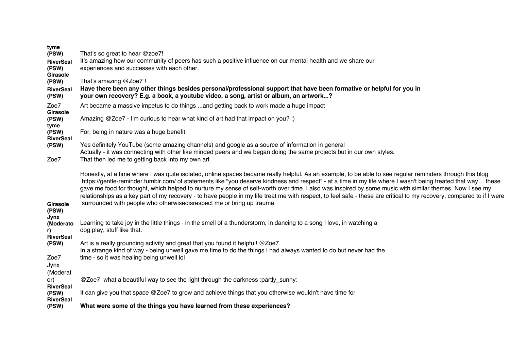| tyme<br>(PSW)<br><b>RiverSeal</b><br>(PSW)<br>Girasole<br>(PSW)<br><b>RiverSeal</b><br>(PSW)                                                                            | That's so great to hear $@$ zoe 7!<br>It's amazing how our community of peers has such a positive influence on our mental health and we share our<br>experiences and successes with each other.<br>That's amazing @Zoe7 !<br>Have there been any other things besides personal/professional support that have been formative or helpful for you in<br>your own recovery? E.g. a book, a youtube video, a song, artist or album, an artwork?                                                                                                                                                                                                                                                                                                                                                                                                                                                   |
|-------------------------------------------------------------------------------------------------------------------------------------------------------------------------|-----------------------------------------------------------------------------------------------------------------------------------------------------------------------------------------------------------------------------------------------------------------------------------------------------------------------------------------------------------------------------------------------------------------------------------------------------------------------------------------------------------------------------------------------------------------------------------------------------------------------------------------------------------------------------------------------------------------------------------------------------------------------------------------------------------------------------------------------------------------------------------------------|
| Zoe7<br>Girasole<br>(PSW)<br>tyme<br>(PSW)<br><b>RiverSeal</b><br>(PSW)<br>Zoe7                                                                                         | Art became a massive impetus to do things and getting back to work made a huge impact<br>Amazing @Zoe7 - I'm curious to hear what kind of art had that impact on you? :)<br>For, being in nature was a huge benefit<br>Yes definitely YouTube (some amazing channels) and google as a source of information in general<br>Actually - it was connecting with other like minded peers and we began doing the same projects but in our own styles.<br>That then led me to getting back into my own art                                                                                                                                                                                                                                                                                                                                                                                           |
| Girasole<br>(PSW)<br>Jynx<br>(Moderato<br>r).<br><b>RiverSeal</b><br>(PSW)<br>Zoe7<br>Jynx<br>(Moderat<br>or)<br><b>RiverSeal</b><br>(PSW)<br><b>RiverSeal</b><br>(PSW) | Honestly, at a time where I was quite isolated, online spaces became really helpful. As an example, to be able to see regular reminders through this blog<br>https://gentle-reminder.tumblr.com/ of statements like "you deserve kindness and respect" - at a time in my life where I wasn't being treated that way these<br>gave me food for thought, which helped to nurture my sense of self-worth over time. I also was inspired by some music with similar themes. Now I see my<br>relationships as a key part of my recovery - to have people in my life treat me with respect, to feel safe - these are critical to my recovery, compared to if I were<br>surrounded with people who otherwisedisrespect me or bring up trauma<br>Learning to take joy in the little things - in the smell of a thunderstorm, in dancing to a song I love, in watching a<br>dog play, stuff like that. |
|                                                                                                                                                                         | Art is a really grounding activity and great that you found it helpful! @Zoe7<br>In a strange kind of way - being unwell gave me time to do the things I had always wanted to do but never had the<br>time - so it was healing being unwell lol<br>@Zoe7 what a beautiful way to see the light through the darkness :partly_sunny:                                                                                                                                                                                                                                                                                                                                                                                                                                                                                                                                                            |
|                                                                                                                                                                         | It can give you that space @Zoe7 to grow and achieve things that you otherwise wouldn't have time for<br>What were some of the things you have learned from these experiences?                                                                                                                                                                                                                                                                                                                                                                                                                                                                                                                                                                                                                                                                                                                |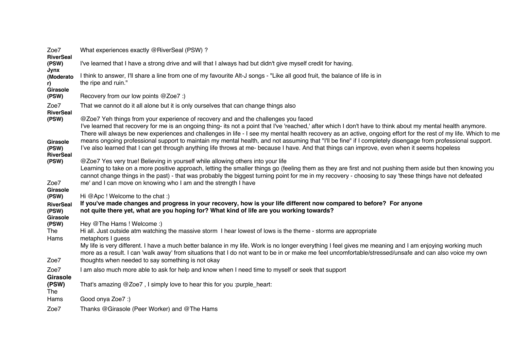| Zoe7<br><b>RiverSeal</b>              | What experiences exactly @RiverSeal (PSW) ?                                                                                                                                                                                                                                                                                                                                                                            |
|---------------------------------------|------------------------------------------------------------------------------------------------------------------------------------------------------------------------------------------------------------------------------------------------------------------------------------------------------------------------------------------------------------------------------------------------------------------------|
| (PSW)<br>Jynx                         | I've learned that I have a strong drive and will that I always had but didn't give myself credit for having.                                                                                                                                                                                                                                                                                                           |
| (Moderato<br>r).<br>Girasole          | I think to answer, I'll share a line from one of my favourite Alt-J songs - "Like all good fruit, the balance of life is in<br>the ripe and ruin."                                                                                                                                                                                                                                                                     |
| (PSW)                                 | Recovery from our low points @Zoe7 :)                                                                                                                                                                                                                                                                                                                                                                                  |
| Zoe7<br><b>RiverSeal</b>              | That we cannot do it all alone but it is only ourselves that can change things also                                                                                                                                                                                                                                                                                                                                    |
| (PSW)                                 | @Zoe7 Yeh things from your experience of recovery and and the challenges you faced<br>I've learned that recovery for me is an ongoing thing- its not a point that I've 'reached,' after which I don't have to think about my mental health anymore.<br>There will always be new experiences and challenges in life - I see my mental health recovery as an active, ongoing effort for the rest of my life. Which to me |
| Girasole<br>(PSW)<br><b>RiverSeal</b> | means ongoing professional support to maintain my mental health, and not assuming that "I"ll be fine" if I completely disengage from professional support.<br>I've also learned that I can get through anything life throws at me-because I have. And that things can improve, even when it seems hopeless                                                                                                             |
| (PSW)                                 | @Zoe7 Yes very true! Believing in yourself while allowing others into your life<br>Learning to take on a more positive approach, letting the smaller things go (feeling them as they are first and not pushing them aside but then knowing you<br>cannot change things in the past) - that was probably the biggest turning point for me in my recovery - choosing to say 'these things have not defeated              |
| Zoe7<br>Girasole                      | me' and I can move on knowing who I am and the strength I have                                                                                                                                                                                                                                                                                                                                                         |
| (PSW)                                 | Hi @Apc ! Welcome to the chat :)                                                                                                                                                                                                                                                                                                                                                                                       |
| <b>RiverSeal</b><br>(PSW)             | If you've made changes and progress in your recovery, how is your life different now compared to before? For anyone<br>not quite there yet, what are you hoping for? What kind of life are you working towards?                                                                                                                                                                                                        |
| Girasole<br>(PSW)                     | Hey @The Hams ! Welcome :)                                                                                                                                                                                                                                                                                                                                                                                             |
| The<br>Hams                           | Hi all. Just outside atm watching the massive storm I hear lowest of lows is the theme - storms are appropriate<br>metaphors I guess                                                                                                                                                                                                                                                                                   |
| Zoe7                                  | My life is very different. I have a much better balance in my life. Work is no longer everything I feel gives me meaning and I am enjoying working much<br>more as a result. I can 'walk away' from situations that I do not want to be in or make me feel uncomfortable/stressed/unsafe and can also voice my own<br>thoughts when needed to say something is not okay                                                |
|                                       |                                                                                                                                                                                                                                                                                                                                                                                                                        |
| Zoe7<br><b>Girasole</b>               | I am also much more able to ask for help and know when I need time to myself or seek that support                                                                                                                                                                                                                                                                                                                      |
| (PSW)<br>The                          | That's amazing @Zoe7, I simply love to hear this for you :purple_heart:                                                                                                                                                                                                                                                                                                                                                |
| Hams                                  | Good onya Zoe7 :)                                                                                                                                                                                                                                                                                                                                                                                                      |
| Zoe7                                  | Thanks @Girasole (Peer Worker) and @The Hams                                                                                                                                                                                                                                                                                                                                                                           |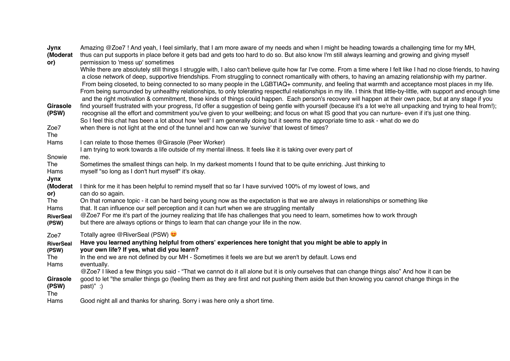| Jynx<br>(Moderat<br>or)<br>Girasole<br>(PSW) | Amazing @Zoe7! And yeah, I feel similarly, that I am more aware of my needs and when I might be heading towards a challenging time for my MH,<br>thus can put supports in place before it gets bad and gets too hard to do so. But also know I'm still always learning and growing and giving myself<br>permission to 'mess up' sometimes<br>While there are absolutely still things I struggle with, I also can't believe quite how far I've come. From a time where I felt like I had no close friends, to having<br>a close network of deep, supportive friendships. From struggling to connect romantically with others, to having an amazing relationship with my partner.<br>From being closeted, to being connected to so many people in the LGBTIAQ+ community, and feeling that warmth and acceptance most places in my life.<br>From being surrounded by unhealthy relationships, to only tolerating respectful relationships in my life. I think that little-by-little, with support and enough time<br>and the right motivation & commitment, these kinds of things could happen. Each person's recovery will happen at their own pace, but at any stage if you<br>find yourself frustrated with your progress, I'd offer a suggestion of being gentle with yourself (because it's a lot we're all unpacking and trying to heal from!);<br>recognise all the effort and commitment you've given to your wellbeing; and focus on what IS good that you can nurture- even if it's just one thing.<br>So I feel this chat has been a lot about how 'well' I am generally doing but it seems the appropriate time to ask - what do we do |
|----------------------------------------------|--------------------------------------------------------------------------------------------------------------------------------------------------------------------------------------------------------------------------------------------------------------------------------------------------------------------------------------------------------------------------------------------------------------------------------------------------------------------------------------------------------------------------------------------------------------------------------------------------------------------------------------------------------------------------------------------------------------------------------------------------------------------------------------------------------------------------------------------------------------------------------------------------------------------------------------------------------------------------------------------------------------------------------------------------------------------------------------------------------------------------------------------------------------------------------------------------------------------------------------------------------------------------------------------------------------------------------------------------------------------------------------------------------------------------------------------------------------------------------------------------------------------------------------------------------------------------------------------------------------------------------------------------|
| Zoe7<br>The                                  | when there is not light at the end of the tunnel and how can we 'survive' that lowest of times?                                                                                                                                                                                                                                                                                                                                                                                                                                                                                                                                                                                                                                                                                                                                                                                                                                                                                                                                                                                                                                                                                                                                                                                                                                                                                                                                                                                                                                                                                                                                                  |
| Hams                                         | I can relate to those themes @Girasole (Peer Worker)<br>I am trying to work towards a life outside of my mental illness. It feels like it is taking over every part of                                                                                                                                                                                                                                                                                                                                                                                                                                                                                                                                                                                                                                                                                                                                                                                                                                                                                                                                                                                                                                                                                                                                                                                                                                                                                                                                                                                                                                                                           |
| Snowie                                       | me.                                                                                                                                                                                                                                                                                                                                                                                                                                                                                                                                                                                                                                                                                                                                                                                                                                                                                                                                                                                                                                                                                                                                                                                                                                                                                                                                                                                                                                                                                                                                                                                                                                              |
| The<br>Hams                                  | Sometimes the smallest things can help. In my darkest moments I found that to be quite enriching. Just thinking to<br>myself "so long as I don't hurt myself" it's okay.                                                                                                                                                                                                                                                                                                                                                                                                                                                                                                                                                                                                                                                                                                                                                                                                                                                                                                                                                                                                                                                                                                                                                                                                                                                                                                                                                                                                                                                                         |
| Jynx                                         |                                                                                                                                                                                                                                                                                                                                                                                                                                                                                                                                                                                                                                                                                                                                                                                                                                                                                                                                                                                                                                                                                                                                                                                                                                                                                                                                                                                                                                                                                                                                                                                                                                                  |
| (Moderat                                     | I think for me it has been helpful to remind myself that so far I have survived 100% of my lowest of lows, and                                                                                                                                                                                                                                                                                                                                                                                                                                                                                                                                                                                                                                                                                                                                                                                                                                                                                                                                                                                                                                                                                                                                                                                                                                                                                                                                                                                                                                                                                                                                   |
| or)<br>The                                   | can do so again.<br>On that romance topic - it can be hard being young now as the expectation is that we are always in relationships or something like                                                                                                                                                                                                                                                                                                                                                                                                                                                                                                                                                                                                                                                                                                                                                                                                                                                                                                                                                                                                                                                                                                                                                                                                                                                                                                                                                                                                                                                                                           |
| Hams                                         | that. It can influence our self perception and it can hurt when we are struggling mentally                                                                                                                                                                                                                                                                                                                                                                                                                                                                                                                                                                                                                                                                                                                                                                                                                                                                                                                                                                                                                                                                                                                                                                                                                                                                                                                                                                                                                                                                                                                                                       |
| <b>RiverSeal</b>                             | @Zoe7 For me it's part of the journey realizing that life has challenges that you need to learn, sometimes how to work through                                                                                                                                                                                                                                                                                                                                                                                                                                                                                                                                                                                                                                                                                                                                                                                                                                                                                                                                                                                                                                                                                                                                                                                                                                                                                                                                                                                                                                                                                                                   |
| (PSW)                                        | but there are always options or things to learn that can change your life in the now.                                                                                                                                                                                                                                                                                                                                                                                                                                                                                                                                                                                                                                                                                                                                                                                                                                                                                                                                                                                                                                                                                                                                                                                                                                                                                                                                                                                                                                                                                                                                                            |
| Zoe7                                         | Totally agree @RiverSeal (PSW)                                                                                                                                                                                                                                                                                                                                                                                                                                                                                                                                                                                                                                                                                                                                                                                                                                                                                                                                                                                                                                                                                                                                                                                                                                                                                                                                                                                                                                                                                                                                                                                                                   |
| <b>RiverSeal</b><br>(PSW)                    | Have you learned anything helpful from others' experiences here tonight that you might be able to apply in<br>your own life? If yes, what did you learn?                                                                                                                                                                                                                                                                                                                                                                                                                                                                                                                                                                                                                                                                                                                                                                                                                                                                                                                                                                                                                                                                                                                                                                                                                                                                                                                                                                                                                                                                                         |
| The                                          | In the end we are not defined by our MH - Sometimes it feels we are but we aren't by default. Lows end                                                                                                                                                                                                                                                                                                                                                                                                                                                                                                                                                                                                                                                                                                                                                                                                                                                                                                                                                                                                                                                                                                                                                                                                                                                                                                                                                                                                                                                                                                                                           |
| Hams                                         | eventually.                                                                                                                                                                                                                                                                                                                                                                                                                                                                                                                                                                                                                                                                                                                                                                                                                                                                                                                                                                                                                                                                                                                                                                                                                                                                                                                                                                                                                                                                                                                                                                                                                                      |
|                                              | @Zoe7 I liked a few things you said - "That we cannot do it all alone but it is only ourselves that can change things also" And how it can be                                                                                                                                                                                                                                                                                                                                                                                                                                                                                                                                                                                                                                                                                                                                                                                                                                                                                                                                                                                                                                                                                                                                                                                                                                                                                                                                                                                                                                                                                                    |
| Girasole<br>(PSW)<br>The                     | good to let "the smaller things go (feeling them as they are first and not pushing them aside but then knowing you cannot change things in the<br>$past)"$ :)                                                                                                                                                                                                                                                                                                                                                                                                                                                                                                                                                                                                                                                                                                                                                                                                                                                                                                                                                                                                                                                                                                                                                                                                                                                                                                                                                                                                                                                                                    |
| Hams                                         | Good night all and thanks for sharing. Sorry i was here only a short time.                                                                                                                                                                                                                                                                                                                                                                                                                                                                                                                                                                                                                                                                                                                                                                                                                                                                                                                                                                                                                                                                                                                                                                                                                                                                                                                                                                                                                                                                                                                                                                       |
|                                              |                                                                                                                                                                                                                                                                                                                                                                                                                                                                                                                                                                                                                                                                                                                                                                                                                                                                                                                                                                                                                                                                                                                                                                                                                                                                                                                                                                                                                                                                                                                                                                                                                                                  |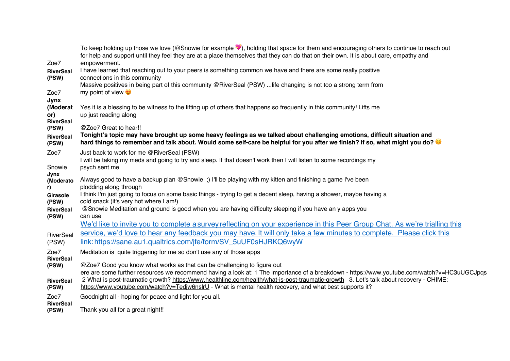|                           | To keep holding up those we love (@Snowie for example ), holding that space for them and encouraging others to continue to reach out<br>for help and support until they feel they are at a place themselves that they can do that on their own. It is about care, empathy and |
|---------------------------|-------------------------------------------------------------------------------------------------------------------------------------------------------------------------------------------------------------------------------------------------------------------------------|
| Zoe7                      | empowerment.                                                                                                                                                                                                                                                                  |
| <b>RiverSeal</b><br>(PSW) | I have learned that reaching out to your peers is something common we have and there are some really positive<br>connections in this community                                                                                                                                |
|                           | Massive positives in being part of this community @RiverSeal (PSW)  life changing is not too a strong term from                                                                                                                                                               |
| Zoe7                      | my point of view $\bullet$                                                                                                                                                                                                                                                    |
| Jynx<br>(Moderat          | Yes it is a blessing to be witness to the lifting up of others that happens so frequently in this community! Lifts me                                                                                                                                                         |
| or)                       | up just reading along                                                                                                                                                                                                                                                         |
| <b>RiverSeal</b>          | @Zoe7 Great to hear!!                                                                                                                                                                                                                                                         |
| (PSW)<br><b>RiverSeal</b> | Tonight's topic may have brought up some heavy feelings as we talked about challenging emotions, difficult situation and                                                                                                                                                      |
| (PSW)                     | hard things to remember and talk about. Would some self-care be helpful for you after we finish? If so, what might you do?                                                                                                                                                    |
| Zoe7                      | Just back to work for me @RiverSeal (PSW)                                                                                                                                                                                                                                     |
|                           | I will be taking my meds and going to try and sleep. If that doesn't work then I will listen to some recordings my<br>psych sent me                                                                                                                                           |
| Snowie<br>Jynx            |                                                                                                                                                                                                                                                                               |
| (Moderato                 | Always good to have a backup plan @Snowie ;) I'll be playing with my kitten and finishing a game I've been<br>plodding along through                                                                                                                                          |
| r)<br><b>Girasole</b>     | I think I'm just going to focus on some basic things - trying to get a decent sleep, having a shower, maybe having a                                                                                                                                                          |
| (PSW)                     | cold snack (it's very hot where I am!)                                                                                                                                                                                                                                        |
| <b>RiverSeal</b>          | @Snowie Meditation and ground is good when you are having difficulty sleeping if you have an y apps you<br>can use                                                                                                                                                            |
| (PSW)                     | We'd like to invite you to complete a survey reflecting on your experience in this Peer Group Chat. As we're trialling this                                                                                                                                                   |
| RiverSeal                 | service, we'd love to hear any feedback you may have. It will only take a few minutes to complete. Please click this                                                                                                                                                          |
| (PSW)                     | link: https://sane.au1.qualtrics.com/jfe/form/SV_5uUF0sHJRKQ6wyW                                                                                                                                                                                                              |
| Zoe7                      | Meditation is quite triggering for me so don't use any of those apps                                                                                                                                                                                                          |
| <b>RiverSeal</b><br>(PSW) | @Zoe7 Good you know what works as that can be challenging to figure out                                                                                                                                                                                                       |
|                           | ere are some further resources we recommend having a look at: 1 The importance of a breakdown - https://www.youtube.com/watch?v=HC3uUGCJpqs                                                                                                                                   |
| <b>RiverSeal</b>          | 2 What is post-traumatic growth? https://www.healthline.com/health/what-is-post-traumatic-growth 3. Let's talk about recovery - CHIME:                                                                                                                                        |
| (PSW)                     | https://www.youtube.com/watch?v=Tedjw6nslrU - What is mental health recovery, and what best supports it?                                                                                                                                                                      |
| Zoe7<br><b>RiverSeal</b>  | Goodnight all - hoping for peace and light for you all.                                                                                                                                                                                                                       |
| (PSW)                     | Thank you all for a great night!!                                                                                                                                                                                                                                             |
|                           |                                                                                                                                                                                                                                                                               |